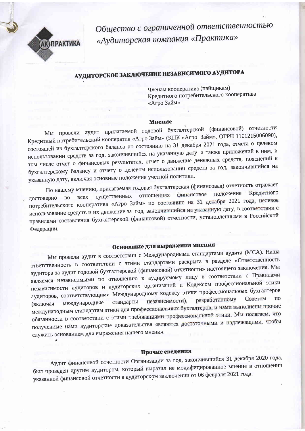

Общество с ограниченной ответственностью «Аудиторская компания «Практика»

## АУДИТОРСКОЕ ЗАКЛЮЧЕНИЕ НЕЗАВИСИМОГО АУДИТОРА

Членам кооператива (пайщикам) Кредитного потребительского кооператива «Агро Займ»

#### **Мнение**

Мы провели аудит прилагаемой годовой бухгалтерской (финансовой) отчетности Кредитный потребительский кооператив «Агро Займ» (КПК «Агро Займ», ОГРН 1101215006090), состоящей из бухгалтерского баланса по состоянию на 31 декабря 2021 года, отчета о целевом использовании средств за год, закончившийся на указанную дату, а также приложений к ним, в том числе отчет о финансовых результатах, отчет о движение денежных средств, пояснений к бухгалтерскому балансу и отчету о целевом использовании средств за год, закончившийся на указанную дату, включая основные положения учетной политики.

По нашему мнению, прилагаемая годовая бухгалтерская (финансовая) отчетность отражает Кредитного положение финансовое отношениях существенных **BCeX** достоверно **BO** потребительского кооператива «Агро Займ» по состоянию на 31 декабря 2021 года, целевое использование средств и их движение за год, закончившийся на указанную дату, в соответствии с правилами составления бухгалтерской (финансовой) отчетности, установленными в Российской Федерации.

## Основание для выражения мнения

Мы провели аудит в соответствии с Международными стандартами аудита (МСА). Наша ответственность в соответствии с этими стандартами раскрыта в разделе «Ответственность аудитора за аудит годовой бухгалтерской (финансовой) отчетности» настоящего заключения. Мы являемся независимыми по отношению к аудируемому лицу в соответствии с Правилами независимости аудиторов и аудиторских организаций и Кодексом профессиональной этики аудиторов, соответствующими Международному кодексу этики профессиональных бухгалтеров по Советом разработанному независимости), стандарты международные международным стандартам этики для профессиональных бухгалтеров, и нами выполнены прочие (включая обязанности в соответствии с этими требованиями профессиональной этики. Мы полагаем, что полученные нами аудиторские доказательства являются достаточными и надлежащими, чтобы служить основанием для выражения нашего мнения.

### Прочие сведения

Аудит финансовой отчетности Организации за год, закончившийся 31 декабря 2020 года, был проведен другим аудитором, который выразил не модифицированное мнение в отношении указанной финансовой отчетности в аудиторском заключении от 06 февраля 2021 года.

 $\mathbf{1}$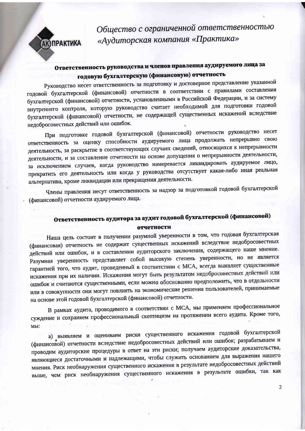**АК) ПРАКТИКА** 

Общество с ограниченной ответственностью «Аудиторская компания «Практика»

### Ответственность руководства и членов правления аудируемого лица за годовую бухгалтерскую (финансовую) отчетность

Руководство несет ответственность за подготовку и достоверное представление указанной годовой бухгалтерской (финансовой) отчетности в соответствии с правилами составления бухгалтерской (финансовой) отчетности, установленными в Российской Федерации, и за систему внутреннего контроля, которую руководство считает необходимой для подготовки годовой бухгалтерской (финансовой) отчетности, не содержащей существенных искажений вследствие недобросовестных действий или ошибок.

При подготовке годовой бухгалтерской (финансовой) отчетности руководство несет ответственность за оценку способности аудируемого лица продолжать непрерывно свою деятельность, за раскрытие в соответствующих случаях сведений, относящихся к непрерывности деятельности, и за составление отчетности на основе допущения о непрерывности деятельности, за исключением случаев, когда руководство намеревается ликвидировать аудируемое лицо, прекратить его деятельность или когда у руководства отсутствует какая-либо иная реальная альтернатива, кроме ликвидации или прекращения деятельности.

Члены правления несут ответственность за надзор за подготовкой годовой бухгалтерской (финансовой) отчетности аудируемого лица.

### Ответственность аудитора за аудит годовой бухгалтерской (финансовой) отчетности

Наша цель состоит в получении разумной уверенности в том, что годовая бухгалтерская (финансовая) отчетность не содержит существенных искажений вследствие недобросовестных действий или ошибок, и в составлении аудиторского заключения, содержащего наше мнение. Разумная уверенность представляет собой высокую степень уверенности, но не является гарантией того, что аудит, проведенный в соответствии с МСА, всегда выявляет существенные искажения при их наличии. Искажения могут быть результатом недобросовестных действий или ошибок и считаются существенными, если можно обоснованно предположить, что в отдельности или в совокупности они могут повлиять на экономические решения пользователей, принимаемые на основе этой годовой бухгалтерской (финансовой) отчетности.

В рамках аудита, проводимого в соответствии с МСА, мы применяем профессиональное суждение и сохраняем профессиональный скептицизм на протяжении всего аудита. Кроме того, МЫ:

а) выявляем и оцениваем риски существенного искажения годовой бухгалтерской (финансовой) отчетности вследствие недобросовестных действий или ошибок; разрабатываем и проводим аудиторские процедуры в ответ на эти риски; получаем аудиторские доказательства, являющиеся достаточными и надлежащими, чтобы служить основанием для выражения нашего мнения. Риск необнаружения существенного искажения в результате недобросовестных действий выше, чем риск необнаружения существенного искажения в результате ошибки, так как